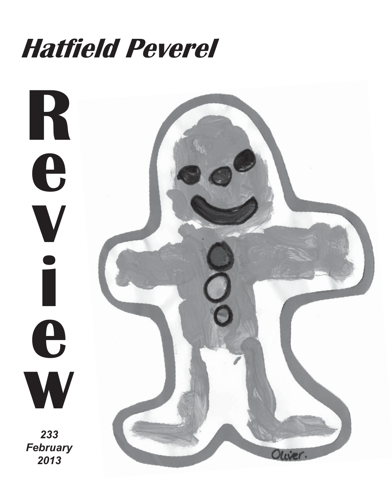# **Hatfield Peverel**

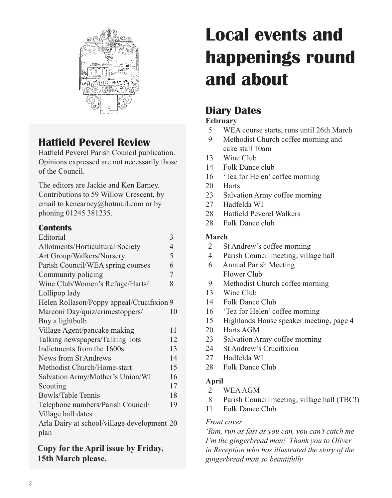

# **Hatfield Peverel Review**

Hatfield Peverel Parish Council publication. Opinions expressed are not necessarily those of the Council.

The editors are Jackie and Ken Earney. Contributions to 59 Willow Crescent, by email to kenearney@hotmail.com or by phoning 01245 381235.

### **Contents**

| Editorial                                   | 3  |
|---------------------------------------------|----|
| Allotments/Horticultural Society            | 4  |
| Art Group/Walkers/Nursery                   | 5  |
| Parish Council/WEA spring courses           | 6  |
| Community policing                          | 7  |
| Wine Club/Women's Refuge/Harts/             | 8  |
| Lollipop lady                               |    |
| Helen Rollason/Poppy appeal/Crucifixion 9   |    |
| Marconi Day/quiz/crimestoppers/             | 10 |
| Buy a lightbulb                             |    |
| Village Agent/pancake making                | 11 |
| Talking newspapers/Talking Tots             | 12 |
| Indictments from the 1600s                  | 13 |
| News from St Andrews                        | 14 |
| Methodist Church/Home-start                 | 15 |
| Salvation Army/Mother's Union/WI            | 16 |
| Scouting                                    | 17 |
| Bowls/Table Tennis                          | 18 |
| Telephone numbers/Parish Council/           | 19 |
| Village hall dates                          |    |
| Arla Dairy at school/village development 20 |    |
| plan                                        |    |
|                                             |    |

**Copy for the April issue by Friday, 15th March please.**

# **Local events and happenings round and about**

# **Diary Dates**

### **February**

- 5 WEA course starts, runs until 26th March
- 9 Methodist Church coffee morning and cake stall 10am
- 13 Wine Club
- 14 Folk Dance club
- 16 'Tea for Helen' coffee morning
- 20 Harts
- 23 Salvation Army coffee morning
- 27 Hadfelda WI
- 28 Hatfield Peverel Walkers
- 28 Folk Dance club

### **March**

- 2 St Andrew's coffee morning
- 4 Parish Council meeting, village hall
- 6 Annual Parish Meeting Flower Club
- 9 Methodist Church coffee morning
- 13 Wine Club
- 14 Folk Dance Club
- 16 'Tea for Helen' coffee morning
- 15 Highlands House speaker meeting, page 4
- 20 Harts AGM
- 23 Salvation Army coffee morning
- 24 St Andrew's Crucifixion
- 27 Hadfelda WI
- 28 Folk Dance Club

### **April**

- 2 WEA AGM
- 8 Parish Council meeting, village hall (TBC!)
- 11 Folk Dance Club

### *Front cover*

*'Run, run as fast as you can, you can't catch me I'm the gingerbread man!' Thank you to Oliver in Reception who has illustrated the story of the gingerbread man so beautifully*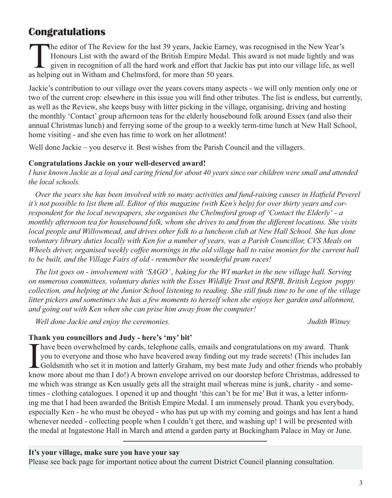# **Congratulations**

The editor of The Review for the last 39 years, Jackie Earney, was recognised in the New Year's<br>Honours List with the award of the British Empire Medal. This award is not made lightly and w<br>given in recognition of all the Honours List with the award of the British Empire Medal. This award is not made lightly and was given in recognition of all the hard work and effort that Jackie has put into our village life, as well as helping out in Witham and Chelmsford, for more than 50 years.

Jackie's contribution to our village over the years covers many aspects - we will only mention only one or two of the current crop: elsewhere in this issue you will find other tributes. The list is endless, but currently, as well as the Review, she keeps busy with litter picking in the village, organising, driving and hosting the monthly 'Contact' group afternoon teas for the elderly housebound folk around Essex (and also their annual Christmas lunch) and ferrying some of the group to a weekly term-time lunch at New Hall School, home visiting - and she even has time to work on her allotment!

Well done Jackie – you deserve it. Best wishes from the Parish Council and the villagers.

#### **Congratulations Jackie on your well-deserved award!**

*I have known Jackie as a loyal and caring friend for about 40 years since our children were small and attended the local schools.*

*Over the years she has been involved with so many activities and fund-raising causes in Hatfield Peverel it's not possible to list them all. Editor of this magazine (with Ken's help) for over thirty years and correspondent for the local newspapers, she organises the Chelmsford group of 'Contact the Elderly' - a monthly afternoon tea for housebound folk, whom she drives to and from the different locations. She visits local people and Willowmead, and drives other folk to a luncheon club at New Hall School. She has done voluntary library duties locally with Ken for a number of years, was a Parish Councillor, CVS Meals on Wheels driver, organised weekly coffee mornings in the old village hall to raise monies for the current hall to be built, and the Village Fairs of old - remember the wonderful pram races!*

*The list goes on - involvement with 'SAGO' , baking for the WI market in the new village hall. Serving on numerous committees, voluntary duties with the Essex Wildlife Trust and RSPB, British Legion poppy collection, and helping at the Junior School listening to reading. She still finds time to be one of the village litter pickers and sometimes she has a few moments to herself when she enjoys her garden and allotment, and going out with Ken when she can prise him away from the computer!*

*Well done Jackie and enjoy the ceremonies. Judith Witney*

### **Thank you councillors and Judy - here's 'my' bit'**

I have been overwhelmed by cards, telephone calls, emails and congratulations on my award. Thank<br>you to everyone and those who have beavered away finding out my trade secrets! (This includes Ian<br>Goldsmith who set it in mot you to everyone and those who have beavered away finding out my trade secrets! (This includes Ian Goldsmith who set it in motion and latterly Graham, my best mate Judy and other friends who probably know more about me than I do!) A brown envelope arrived on our doorstep before Christmas, addressed to me which was strange as Ken usually gets all the straight mail whereas mine is junk, charity - and sometimes - clothing catalogues. I opened it up and thought 'this can't be for me' But it was, a letter informing me that I had been awarded the British Empire Medal. I am immensely proud. Thank you everybody, especially Ken - he who must be obeyed - who has put up with my coming and goings and has lent a hand whenever needed - collecting people when I couldn't get there, and washing up! I will be presented with the medal at Ingatestone Hall in March and attend a garden party at Buckingham Palace in May or June.

#### **It's your village, make sure you have your say**

Please see back page for important notice about the current District Council planning consultation.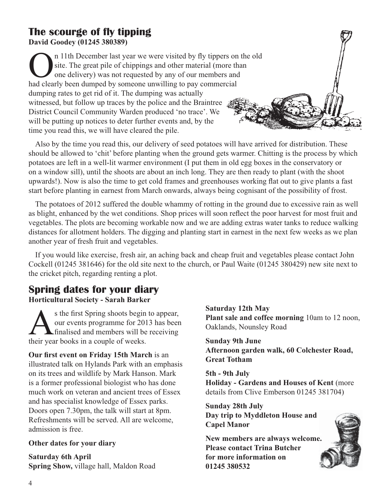### **The scourge of fly tipping David Goodey (01245 380389)**

If the December last year we were visited by fly tippers on the old site. The great pile of chippings and other material (more than one delivery) was not requested by any of our members and had clearly been dumned by someo site. The great pile of chippings and other material (more than one delivery) was not requested by any of our members and had clearly been dumped by someone unwilling to pay commercial dumping rates to get rid of it. The dumping was actually witnessed, but follow up traces by the police and the Braintree District Council Community Warden produced 'no trace'. We will be putting up notices to deter further events and, by the time you read this, we will have cleared the pile.

Also by the time you read this, our delivery of seed potatoes will have arrived for distribution. These should be allowed to 'chit' before planting when the ground gets warmer. Chitting is the process by which potatoes are left in a well-lit warmer environment (I put them in old egg boxes in the conservatory or on a window sill), until the shoots are about an inch long. They are then ready to plant (with the shoot upwards!). Now is also the time to get cold frames and greenhouses working flat out to give plants a fast start before planting in earnest from March onwards, always being cognisant of the possibility of frost.

The potatoes of 2012 suffered the double whammy of rotting in the ground due to excessive rain as well as blight, enhanced by the wet conditions. Shop prices will soon reflect the poor harvest for most fruit and vegetables. The plots are becoming workable now and we are adding extras water tanks to reduce walking distances for allotment holders. The digging and planting start in earnest in the next few weeks as we plan another year of fresh fruit and vegetables.

If you would like exercise, fresh air, an aching back and cheap fruit and vegetables please contact John Cockell (01245 381646) for the old site next to the church, or Paul Waite (01245 380429) new site next to the cricket pitch, regarding renting a plot.

### **Spring dates for your diary Horticultural Society - Sarah Barker**

s the first Spring shoots begin to appear,<br>our events programme for 2013 has been<br>finalised and members will be receiving<br>their year books in a counle of weeks our events programme for 2013 has been finalised and members will be receiving their year books in a couple of weeks.

**Our first event on Friday 15th March** is an illustrated talk on Hylands Park with an emphasis on its trees and wildlife by Mark Hanson. Mark is a former professional biologist who has done much work on veteran and ancient trees of Essex and has specialist knowledge of Essex parks. Doors open 7.30pm, the talk will start at 8pm. Refreshments will be served. All are welcome, admission is free.

#### **Other dates for your diary**

**Saturday 6th April Spring Show,** village hall, Maldon Road **Saturday 12th May Plant sale and coffee morning** 10am to 12 noon, Oaklands, Nounsley Road

**Sunday 9th June Afternoon garden walk, 60 Colchester Road, Great Totham**

**5th - 9th July Holiday - Gardens and Houses of Kent** (more details from Clive Emberson 01245 381704)

**Sunday 28th July Day trip to Myddleton House and Capel Manor**

**New members are always welcome. Please contact Trina Butcher for more information on 01245 380532**

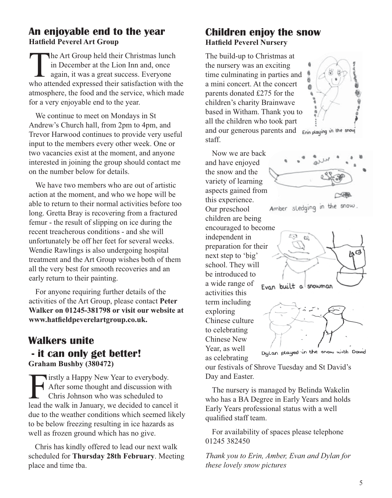### **An enjoyable end to the year Hatfield Peverel Art Group**

The Art Group held their Christmas lunch<br>in December at the Lion Inn and, once<br>again, it was a great success. Everyone<br>who attended expressed their satisfaction with the in December at the Lion Inn and, once again, it was a great success. Everyone who attended expressed their satisfaction with the atmosphere, the food and the service, which made for a very enjoyable end to the year.

We continue to meet on Mondays in St Andrew's Church hall, from 2pm to 4pm, and Trevor Harwood continues to provide very useful input to the members every other week. One or two vacancies exist at the moment, and anyone interested in joining the group should contact me on the number below for details.

We have two members who are out of artistic action at the moment, and who we hope will be able to return to their normal activities before too long. Gretta Bray is recovering from a fractured femur - the result of slipping on ice during the recent treacherous conditions - and she will unfortunately be off her feet for several weeks. Wendie Rawlings is also undergoing hospital treatment and the Art Group wishes both of them all the very best for smooth recoveries and an early return to their painting.

For anyone requiring further details of the activities of the Art Group, please contact **Peter Walker on 01245-381798 or visit our website at www.hatfieldpeverelartgroup.co.uk.**

### **Walkers unite - it can only get better! Graham Bushby (380472)**

**Firstly a Happy New Year to everybody.**<br>After some thought and discussion with<br>Chris Johnson who was scheduled to<br>lead the walk in January, we decided to cancel After some thought and discussion with Chris Johnson who was scheduled to lead the walk in January, we decided to cancel it due to the weather conditions which seemed likely to be below freezing resulting in ice hazards as well as frozen ground which has no give.

Chris has kindly offered to lead our next walk scheduled for **Thursday 28th February**. Meeting place and time tba.

### **Children enjoy the snow Hatfield Peverel Nursery**

The build-up to Christmas at the nursery was an exciting time culminating in parties and a mini concert. At the concert parents donated £275 for the children's charity Brainwave based in Witham. Thank you to all the children who took part and our generous parents and Enin playing in the snow staff.



and have enjoyed the snow and the variety of learning aspects gained from this experience. Our preschool children are being encouraged to become independent in preparation for their next step to 'big' school. They will be introduced to a wide range of activities this term including exploring Chinese culture

to celebrating Chinese New Year, as well as celebrating

Now we are back



ЬG Evan built a snowman



Dylan played in the snow with David

our festivals of Shrove Tuesday and St David's Day and Easter.

The nursery is managed by Belinda Wakelin who has a BA Degree in Early Years and holds Early Years professional status with a well qualified staff team.

For availability of spaces please telephone 01245 382450

*Thank you to Erin, Amber, Evan and Dylan for these lovely snow pictures*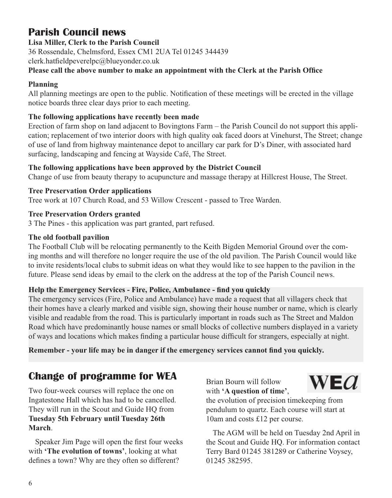# **Parish Council news**

**Lisa Miller, Clerk to the Parish Council**

36 Rossendale, Chelmsford, Essex CM1 2UA Tel 01245 344439

clerk.hatfieldpeverelpc@blueyonder.co.uk

### **Please call the above number to make an appointment with the Clerk at the Parish Office**

### **Planning**

All planning meetings are open to the public. Notification of these meetings will be erected in the village notice boards three clear days prior to each meeting.

### **The following applications have recently been made**

Erection of farm shop on land adjacent to Bovingtons Farm – the Parish Council do not support this application; replacement of two interior doors with high quality oak faced doors at Vinehurst, The Street; change of use of land from highway maintenance depot to ancillary car park for D's Diner, with associated hard surfacing, landscaping and fencing at Wayside Café, The Street.

### **The following applications have been approved by the District Council**

Change of use from beauty therapy to acupuncture and massage therapy at Hillcrest House, The Street.

### **Tree Preservation Order applications**

Tree work at 107 Church Road, and 53 Willow Crescent - passed to Tree Warden.

### **Tree Preservation Orders granted**

3 The Pines - this application was part granted, part refused.

### **The old football pavilion**

The Football Club will be relocating permanently to the Keith Bigden Memorial Ground over the coming months and will therefore no longer require the use of the old pavilion. The Parish Council would like to invite residents/local clubs to submit ideas on what they would like to see happen to the pavilion in the future. Please send ideas by email to the clerk on the address at the top of the Parish Council news.

### **Help the Emergency Services - Fire, Police, Ambulance - find you quickly**

The emergency services (Fire, Police and Ambulance) have made a request that all villagers check that their homes have a clearly marked and visible sign, showing their house number or name, which is clearly visible and readable from the road. This is particularly important in roads such as The Street and Maldon Road which have predominantly house names or small blocks of collective numbers displayed in a variety of ways and locations which makes finding a particular house difficult for strangers, especially at night.

### **Remember - your life may be in danger if the emergency services cannot find you quickly.**

# **Change of programme for WEA**

Two four-week courses will replace the one on Ingatestone Hall which has had to be cancelled. They will run in the Scout and Guide HQ from **Tuesday 5th February until Tuesday 26th March**.

Speaker Jim Page will open the first four weeks with **'The evolution of towns'**, looking at what defines a town? Why are they often so different?

Brian Bourn will follow with **'A question of time'**,



the evolution of precision timekeeping from pendulum to quartz. Each course will start at 10am and costs £12 per course.

The AGM will be held on Tuesday 2nd April in the Scout and Guide HQ. For information contact Terry Bard 01245 381289 or Catherine Voysey, 01245 382595.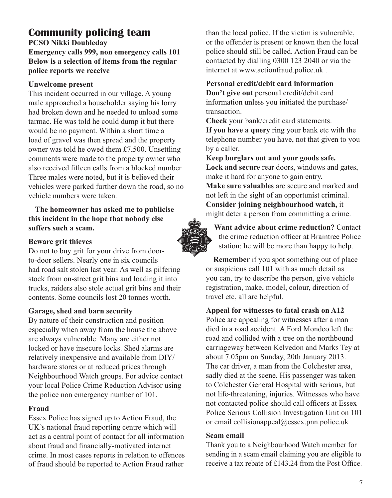# **Community policing team**

**PCSO Nikki Doubleday**

**Emergency calls 999, non emergency calls 101 Below is a selection of items from the regular police reports we receive**

#### **Unwelcome present**

This incident occurred in our village. A young male approached a householder saying his lorry had broken down and he needed to unload some tarmac. He was told he could dump it but there would be no payment. Within a short time a load of gravel was then spread and the property owner was told he owed them £7,500. Unsettling comments were made to the property owner who also received fifteen calls from a blocked number. Three males were noted, but it is believed their vehicles were parked further down the road, so no vehicle numbers were taken.

**The homeowner has asked me to publicise this incident in the hope that nobody else suffers such a scam.**

#### **Beware grit thieves**

Do not to buy grit for your drive from doorto-door sellers. Nearly one in six councils had road salt stolen last year. As well as pilfering stock from on-street grit bins and loading it into trucks, raiders also stole actual grit bins and their contents. Some councils lost 20 tonnes worth.

### **Garage, shed and barn security**

By nature of their construction and position especially when away from the house the above are always vulnerable. Many are either not locked or have insecure locks. Shed alarms are relatively inexpensive and available from DIY/ hardware stores or at reduced prices through Neighbourhood Watch groups. For advice contact your local Police Crime Reduction Advisor using the police non emergency number of 101.

### **Fraud**

Essex Police has signed up to Action Fraud, the UK's national fraud reporting centre which will act as a central point of contact for all information about fraud and financially-motivated internet crime. In most cases reports in relation to offences of fraud should be reported to Action Fraud rather

than the local police. If the victim is vulnerable, or the offender is present or known then the local police should still be called. Action Fraud can be contacted by dialling 0300 123 2040 or via the internet at www.actionfraud.police.uk .

#### **Personal credit/debit card information**

**Don't give out** personal credit/debit card information unless you initiated the purchase/ transaction.

**Check** your bank/credit card statements.

**If you have a query** ring your bank etc with the telephone number you have, not that given to you by a caller.

**Keep burglars out and your goods safe. Lock and secure** rear doors, windows and gates, make it hard for anyone to gain entry. **Make sure valuables** are secure and marked and not left in the sight of an opportunist criminal. **Consider joining neighbourhood watch,** it might deter a person from committing a crime.



**Want advice about crime reduction?** Contact the crime reduction officer at Braintree Police station: he will be more than happy to help.

**Remember** if you spot something out of place or suspicious call 101 with as much detail as you can, try to describe the person, give vehicle registration, make, model, colour, direction of travel etc, all are helpful.

**Appeal for witnesses to fatal crash on A12** 

Police are appealing for witnesses after a man died in a road accident. A Ford Mondeo left the road and collided with a tree on the northbound carriageway between Kelvedon and Marks Tey at about 7.05pm on Sunday, 20th January 2013. The car driver, a man from the Colchester area, sadly died at the scene. His passenger was taken to Colchester General Hospital with serious, but not life-threatening, injuries. Witnesses who have not contacted police should call officers at Essex Police Serious Collision Investigation Unit on 101 or email collisionappeal@essex.pnn.police.uk

#### **Scam email**

Thank you to a Neighbourhood Watch member for sending in a scam email claiming you are eligible to receive a tax rebate of £143.24 from the Post Office.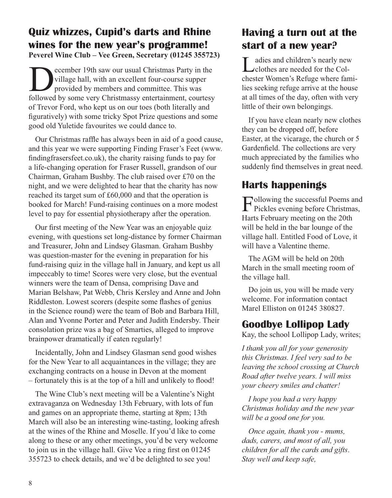### **Quiz whizzes, Cupid's darts and Rhine wines for the new year's programme! Peverel Wine Club – Vee Green, Secretary (01245 355723)**

**December 19th saw our usual Christmas Party in the village hall, with an excellent four-course supper provided by members and committee. This was followed by some very Christmassy entertainment courtesy** village hall, with an excellent four-course supper provided by members and committee. This was followed by some very Christmassy entertainment, courtesy of Trevor Ford, who kept us on our toes (both literally and figuratively) with some tricky Spot Prize questions and some good old Yuletide favourites we could dance to.

Our Christmas raffle has always been in aid of a good cause, and this year we were supporting Finding Fraser's Feet (www. findingfrasersfeet.co.uk), the charity raising funds to pay for a life-changing operation for Fraser Russell, grandson of our Chairman, Graham Bushby. The club raised over £70 on the night, and we were delighted to hear that the charity has now reached its target sum of £60,000 and that the operation is booked for March! Fund-raising continues on a more modest level to pay for essential physiotherapy after the operation.

Our first meeting of the New Year was an enjoyable quiz evening, with questions set long-distance by former Chairman and Treasurer, John and Lindsey Glasman. Graham Bushby was question-master for the evening in preparation for his fund-raising quiz in the village hall in January, and kept us all impeccably to time! Scores were very close, but the eventual winners were the team of Densa, comprising Dave and Marian Belshaw, Pat Webb, Chris Kersley and Anne and John Riddleston. Lowest scorers (despite some flashes of genius in the Science round) were the team of Bob and Barbara Hill, Alan and Yvonne Porter and Peter and Judith Endersby. Their consolation prize was a bag of Smarties, alleged to improve brainpower dramatically if eaten regularly!

Incidentally, John and Lindsey Glasman send good wishes for the New Year to all acquaintances in the village; they are exchanging contracts on a house in Devon at the moment – fortunately this is at the top of a hill and unlikely to flood!

The Wine Club's next meeting will be a Valentine's Night extravaganza on Wednesday 13th February, with lots of fun and games on an appropriate theme, starting at 8pm; 13th March will also be an interesting wine-tasting, looking afresh at the wines of the Rhine and Moselle. If you'd like to come along to these or any other meetings, you'd be very welcome to join us in the village hall. Give Vee a ring first on 01245 355723 to check details, and we'd be delighted to see you!

### **Having a turn out at the start of a new year?**

Ladies and children's nearly new clothes are needed for the Colchester Women's Refuge where families seeking refuge arrive at the house at all times of the day, often with very little of their own belongings.

If you have clean nearly new clothes they can be dropped off, before Easter, at the vicarage, the church or 5 Gardenfield. The collections are very much appreciated by the families who suddenly find themselves in great need.

# **Harts happenings**

Following the successful Poems and Pickles evening before Christmas, Harts February meeting on the 20th will be held in the bar lounge of the village hall. Entitled Food of Love, it will have a Valentine theme.

The AGM will be held on 20th March in the small meeting room of the village hall.

Do join us, you will be made very welcome. For information contact Marel Elliston on 01245 380827.

### **Goodbye Lollipop Lady**

Kay, the school Lollipop Lady, writes;

*I thank you all for your generosity this Christmas. I feel very sad to be leaving the school crossing at Church Road after twelve years. I will miss your cheery smiles and chatter!*

*I hope you had a very happy Christmas holiday and the new year will be a good one for you.*

*Once again, thank you - mums, dads, carers, and most of all, you children for all the cards and gifts*. *Stay well and keep safe,*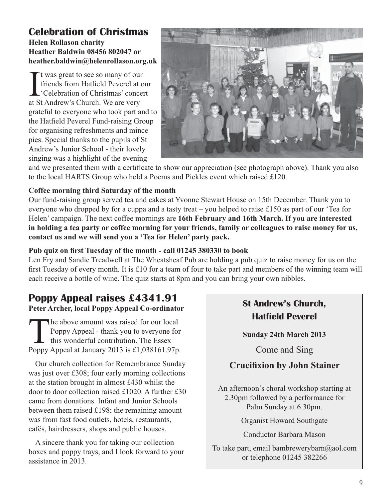### **Celebration of Christmas Helen Rollason charity Heather Baldwin 08456 802047 or heather.baldwin@helenrollason.org.uk**

I t was great to see so many of our friends from Hatfield Peverel at c<br>
'Celebration of Christmas' conce<br>
at St Andrew's Church. We are very t was great to see so many of our friends from Hatfield Peverel at our 'Celebration of Christmas' concert grateful to everyone who took part and to the Hatfield Peverel Fund-raising Group for organising refreshments and mince pies. Special thanks to the pupils of St Andrew's Junior School - their lovely singing was a highlight of the evening



and we presented them with a certificate to show our appreciation (see photograph above). Thank you also to the local HARTS Group who held a Poems and Pickles event which raised £120.

### **Coffee morning third Saturday of the month**

Our fund-raising group served tea and cakes at Yvonne Stewart House on 15th December. Thank you to everyone who dropped by for a cuppa and a tasty treat – you helped to raise £150 as part of our 'Tea for Helen' campaign. The next coffee mornings are **16th February and 16th March. If you are interested in holding a tea party or coffee morning for your friends, family or colleagues to raise money for us, contact us and we will send you a 'Tea for Helen' party pack.**

### **Pub quiz on first Tuesday of the month - call 01245 380330 to book**

Len Fry and Sandie Treadwell at The Wheatsheaf Pub are holding a pub quiz to raise money for us on the first Tuesday of every month. It is £10 for a team of four to take part and members of the winning team will each receive a bottle of wine. The quiz starts at 8pm and you can bring your own nibbles.

# **Poppy Appeal raises £4341.91**

**Peter Archer, local Poppy Appeal Co-ordinator**

The above amount was raised for our local<br>Poppy Appeal - thank you to everyone for<br>this wonderful contribution. The Essex<br>Poppy Appeal at January 2013 is £1.038161.97p Poppy Appeal - thank you to everyone for this wonderful contribution. The Essex Poppy Appeal at January 2013 is £1,038161.97p.

Our church collection for Remembrance Sunday was just over £308; four early morning collections at the station brought in almost £430 whilst the door to door collection raised £1020. A further £30 came from donations. Infant and Junior Schools between them raised £198; the remaining amount was from fast food outlets, hotels, restaurants, cafés, hairdressers, shops and public houses.

A sincere thank you for taking our collection boxes and poppy trays, and I look forward to your assistance in 2013.

### **St Andrew's Church, Hatfield Peverel**

**Sunday 24th March 2013** 

Come and Sing

### **Crucifixion by John Stainer**

An afternoon's choral workshop starting at 2.30pm followed by a performance for Palm Sunday at 6.30pm.

Organist Howard Southgate

Conductor Barbara Mason

To take part, email bambrewerybarn@aol.com or telephone 01245 382266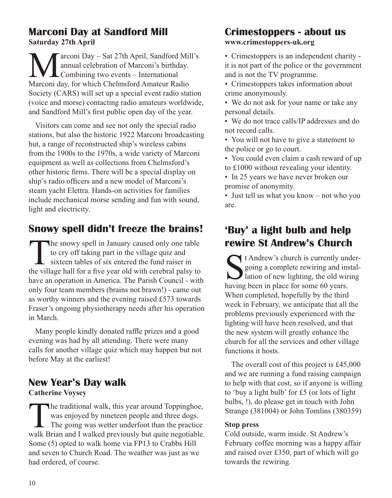### **Marconi Day at Sandford Mill Saturday 27th April**

Marconi Day – Sat 27th April, Sandford Mill's<br>
annual celebration of Marconi's birthday.<br>
Marconi day for which Chelmsford Amateur Radio annual celebration of Marconi's birthday. Combining two events – International Marconi day, for which Chelmsford Amateur Radio Society (CARS) will set up a special event radio station (voice and morse) contacting radio amateurs worldwide, and Sandford Mill's first public open day of the year.

Visitors can come and see not only the special radio stations, but also the historic 1922 Marconi broadcasting hut, a range of reconstructed ship's wireless cabins from the 1900s to the 1970s, a wide variety of Marconi equipment as well as collections from Chelmsford's other historic firms. There will be a special display on ship's radio officers and a new model of Marconi's steam yacht Elettra. Hands-on activities for families include mechanical morse sending and fun with sound, light and electricity.

# **Snowy spell didn't freeze the brains!**

The snowy spell in January caused only one table<br>to cry off taking part in the village quiz and<br>sixteen tables of six entered the fund raiser in<br>the village hall for a five year old with cerebral palsy to to cry off taking part in the village quiz and sixteen tables of six entered the fund raiser in the village hall for a five year old with cerebral palsy to have an operation in America. The Parish Council - with only four team members (brains not brawn!) - came out as worthy winners and the evening raised £573 towards Fraser's ongoing physiotherapy needs after his operation in March.

Many people kindly donated raffle prizes and a good evening was had by all attending. There were many calls for another village quiz which may happen but not before May at the earliest!

# **New Year's Day walk**

### **Catherine Voysey**

The traditional walk, this year around Toppinghoe,<br>was enjoyed by nineteen people and three dogs.<br>The going was wetter underfoot than the practice<br>walk Brian and I walked previously but quite peoptiable was enjoyed by nineteen people and three dogs. The going was wetter underfoot than the practice walk Brian and I walked previously but quite negotiable. Some (5) opted to walk home via FP13 to Crabbs Hill and seven to Church Road. The weather was just as we had ordered, of course.

### **Crimestoppers - about us www.crimestoppers-uk.org**

• Crimestoppers is an independent charity it is not part of the police or the government and is not the TV programme.

• Crimestoppers takes information about crime anonymously.

• We do not ask for your name or take any personal details.

• We do not trace calls/IP addresses and do not record calls.

• You will not have to give a statement to the police or go to court.

• You could even claim a cash reward of up to £1000 without revealing your identity.

• In 25 years we have never broken our promise of anonymity.

• Just tell us what you know – not who you are.

# **'Buy' a light bulb and help rewire St Andrew's Church**

t Andrew's church is currently undergoing a complete rewiring and installation of new lighting, the old wiring having been in place for some 60 years. When completed, hopefully by the third week in February, we anticipate that all the problems previously experienced with the lighting will have been resolved, and that the new system will greatly enhance the church for all the services and other village functions it hosts.

The overall cost of this project is £45,000 and we are running a fund raising campaign to help with that cost, so if anyone is willing to 'buy a light bulb' for £5 (or lots of light bulbs, !), do please get in touch with John Strange (381004) or John Tomlins (380359)

### **Stop press**

Cold outside, warm inside. St Andrew's February coffee morning was a happy affair and raised over £350, part of which will go towards the rewiring.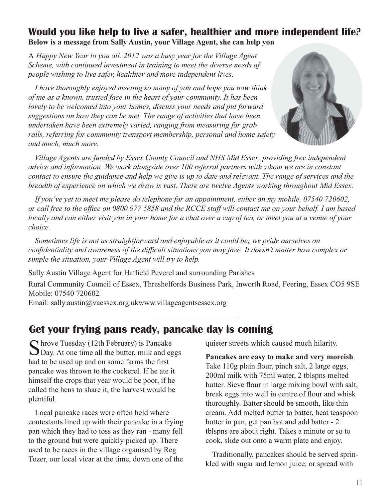### **Would you like help to live a safer, healthier and more independent life? Below is a message from Sally Austin, your Village Agent, she can help you**

A *Happy New Year to you all. 2012 was a busy year for the Village Agent Scheme, with continued investment in training to meet the diverse needs of people wishing to live safer, healthier and more independent lives.*

*I have thoroughly enjoyed meeting so many of you and hope you now think of me as a known, trusted face in the heart of your community. It has been lovely to be welcomed into your homes, discuss your needs and put forward suggestions on how they can be met. The range of activities that have been undertaken have been extremely varied, ranging from measuring for grab rails, referring for community transport membership, personal and home safety and much, much more.*



*Village Agents are funded by Essex County Council and NHS Mid Essex, providing free independent advice and information. We work alongside over 100 referral partners with whom we are in constant contact to ensure the guidance and help we give is up to date and relevant. The range of services and the breadth of experience on which we draw is vast. There are twelve Agents working throughout Mid Essex.*

*If you've yet to meet me please do telephone for an appointment, either on my mobile, 07540 720602, or call free to the office on 0800 977 5858 and the RCCE staff will contact me on your behalf. I am based locally and can either visit you in your home for a chat over a cup of tea, or meet you at a venue of your choice.*

*Sometimes life is not as straightforward and enjoyable as it could be; we pride ourselves on confidentiality and awareness of the difficult situations you may face. It doesn't matter how complex or simple the situation, your Village Agent will try to help.*

Sally Austin Village Agent for Hatfield Peverel and surrounding Parishes

Rural Community Council of Essex, Threshelfords Business Park, Inworth Road, Feering, Essex CO5 9SE Mobile: 07540 720602

Email: sally.austin@vaessex.org.ukwww.villageagentsessex.org

### **Get your frying pans ready, pancake day is coming**

Shrove Tuesday (12th February) is Pancake<br>Day. At one time all the butter, milk and eggs had to be used up and on some farms the first pancake was thrown to the cockerel. If he ate it himself the crops that year would be poor, if he called the hens to share it, the harvest would be plentiful.

Local pancake races were often held where contestants lined up with their pancake in a frying pan which they had to toss as they ran - many fell to the ground but were quickly picked up. There used to be races in the village organised by Reg Tozer, our local vicar at the time, down one of the quieter streets which caused much hilarity.

**Pancakes are easy to make and very moreish**. Take 110g plain flour, pinch salt, 2 large eggs, 200ml milk with 75ml water, 2 tblspns melted butter. Sieve flour in large mixing bowl with salt, break eggs into well in centre of flour and whisk thoroughly. Batter should be smooth, like thin cream. Add melted butter to batter, heat teaspoon butter in pan, get pan hot and add batter - 2 tblspns are about right. Takes a minute or so to cook, slide out onto a warm plate and enjoy.

Traditionally, pancakes should be served sprinkled with sugar and lemon juice, or spread with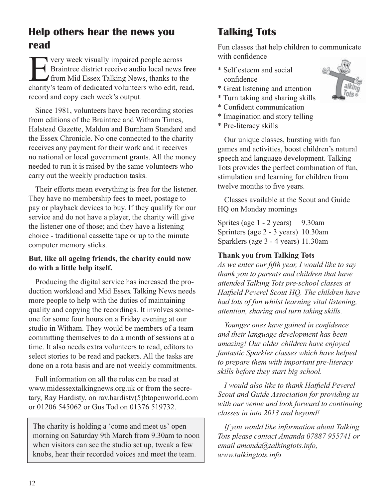# **Help others hear the news you read**

Figure 1 State of the Usually impaired people across<br>
Figure 3 State of the State of the State of the charity's team of dedicated volunteers who edit re Braintree district receive audio local news **free** from Mid Essex Talking News, thanks to the charity's team of dedicated volunteers who edit, read, record and copy each week's output.

Since 1981, volunteers have been recording stories from editions of the Braintree and Witham Times, Halstead Gazette, Maldon and Burnham Standard and the Essex Chronicle. No one connected to the charity receives any payment for their work and it receives no national or local government grants. All the money needed to run it is raised by the same volunteers who carry out the weekly production tasks.

Their efforts mean everything is free for the listener. They have no membership fees to meet, postage to pay or playback devices to buy. If they qualify for our service and do not have a player, the charity will give the listener one of those; and they have a listening choice - traditional cassette tape or up to the minute computer memory sticks.

### **But, like all ageing friends, the charity could now do with a little help itself.**

Producing the digital service has increased the production workload and Mid Essex Talking News needs more people to help with the duties of maintaining quality and copying the recordings. It involves someone for some four hours on a Friday evening at our studio in Witham. They would be members of a team committing themselves to do a month of sessions at a time. It also needs extra volunteers to read, editors to select stories to be read and packers. All the tasks are done on a rota basis and are not weekly commitments.

Full information on all the roles can be read at www.midessextalkingnews.org.uk or from the secretary, Ray Hardisty, on rav.hardistv(5)btopenworld.com or 01206 545062 or Gus Tod on 01376 519732.

The charity is holding a 'come and meet us' open morning on Saturday 9th March from 9.30am to noon when visitors can see the studio set up, tweak a few knobs, hear their recorded voices and meet the team.

# **Talking Tots**

Fun classes that help children to communicate with confidence

- \* Self esteem and social confidence
- \* Great listening and attention
- \* Turn taking and sharing skills
- \* Confident communication
- \* Imagination and story telling
- \* Pre-literacy skills

Our unique classes, bursting with fun games and activities, boost children's natural speech and language development. Talking Tots provides the perfect combination of fun, stimulation and learning for children from twelve months to five years.

Classes available at the Scout and Guide HQ on Monday mornings

Sprites (age 1 - 2 years) 9.30am Sprinters (age 2 - 3 years) 10.30am Sparklers (age 3 - 4 years) 11.30am

### **Thank you from Talking Tots**

*As we enter our fifth year, I would like to say thank you to parents and children that have attended Talking Tots pre-school classes at Hatfield Peverel Scout HQ. The children have had lots of fun whilst learning vital listening, attention, sharing and turn taking skills.*

*Younger ones have gained in confidence and their language development has been amazing! Our older children have enjoyed fantastic Sparkler classes which have helped to prepare them with important pre-literacy skills before they start big school.*

*I would also like to thank Hatfield Peverel Scout and Guide Association for providing us with our venue and look forward to continuing classes in into 2013 and beyond!*

*If you would like information about Talking Tots please contact Amanda 07887 955741 or email amanda@talkingtots.info, www.talkingtots.info*

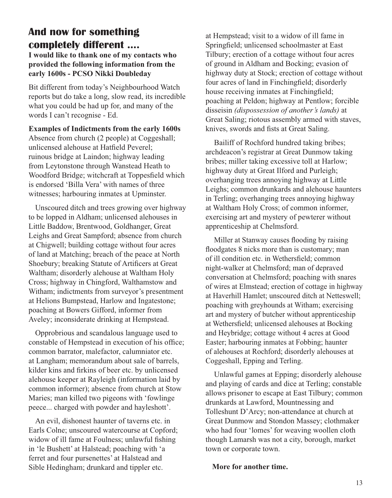### **And now for something completely different ....**

**I would like to thank one of my contacts who provided the following information from the early 1600s - PCSO Nikki Doubleday**

Bit different from today's Neighbourhood Watch reports but do take a long, slow read, its incredible what you could be had up for, and many of the words I can't recognise - Ed.

#### **Examples of Indictments from the early 1600s**

Absence from church (2 people) at Coggeshall; unlicensed alehouse at Hatfield Peverel; ruinous bridge at Laindon; highway leading from Leytonstone through Wanstead Heath to Woodford Bridge; witchcraft at Toppesfield which is endorsed 'Billa Vera' with names of three witnesses; harbouring inmates at Upminster.

Unscoured ditch and trees growing over highway to be lopped in Aldham; unlicensed alehouses in Little Baddow, Brentwood, Goldhanger, Great Leighs and Great Sampford; absence from church at Chigwell; building cottage without four acres of land at Matching; breach of the peace at North Shoebury; breaking Statute of Artificers at Great Waltham; disorderly alehouse at Waltham Holy Cross; highway in Chingford, Walthamstow and Witham; indictments from surveyor's presentment at Helions Bumpstead, Harlow and Ingatestone; poaching at Bowers Gifford, informer from Aveley; inconsiderate drinking at Hempstead.

Opprobrious and scandalous language used to constable of Hempstead in execution of his office; common barrator, malefactor, calumniator etc. at Langham; memorandum about sale of barrels, kilder kins and firkins of beer etc. by unlicensed alehouse keeper at Rayleigh (information laid by common informer); absence from church at Stow Maries; man killed two pigeons with 'fowlinge peece... charged with powder and hayleshott'.

An evil, dishonest haunter of taverns etc. in Earls Colne; unscoured watercourse at Copford; widow of ill fame at Foulness; unlawful fishing in 'le Bushett' at Halstead; poaching with 'a ferret and four pursenettes' at Halstead and Sible Hedingham; drunkard and tippler etc.

at Hempstead; visit to a widow of ill fame in Springfield; unlicensed schoolmaster at East Tilbury; erection of a cottage without four acres of ground in Aldham and Bocking; evasion of highway duty at Stock; erection of cottage without four acres of land in Finchingfield; disorderly house receiving inmates at Finchingfield; poaching at Peldon; highway at Pentlow; forcible disseisin *(dispossession of another's lands)* at Great Saling; riotous assembly armed with staves, knives, swords and fists at Great Saling.

 Bailiff of Rochford hundred taking bribes; archdeacon's registrar at Great Dunmow taking bribes; miller taking excessive toll at Harlow; highway duty at Great Ilford and Purleigh; overhanging trees annoying highway at Little Leighs; common drunkards and alehouse haunters in Terling; overhanging trees annoying highway at Waltham Holy Cross; of common informer, exercising art and mystery of pewterer without apprenticeship at Chelmsford.

 Miller at Stanway causes flooding by raising floodgates 8 nicks more than is customary; man of ill condition etc. in Wethersfield; common night-walker at Chelmsford; man of depraved conversation at Chelmsford; poaching with snares of wires at Elmstead; erection of cottage in highway at Haverhill Hamlet; unscoured ditch at Netteswell; poaching with greyhounds at Witham; exercising art and mystery of butcher without apprenticeship at Wethersfield; unlicensed alehouses at Bocking and Heybridge; cottage without 4 acres at Good Easter; harbouring inmates at Fobbing; haunter of alehouses at Rochford; disorderly alehouses at Coggeshall, Epping and Terling.

 Unlawful games at Epping; disorderly alehouse and playing of cards and dice at Terling; constable allows prisoner to escape at East Tilbury; common drunkards at Lawford, Mountnessing and Tolleshunt D'Arcy; non-attendance at church at Great Dunmow and Stondon Massey; clothmaker who had four 'lomes' for weaving woollen cloth though Lamarsh was not a city, borough, market town or corporate town.

#### **More for another time.**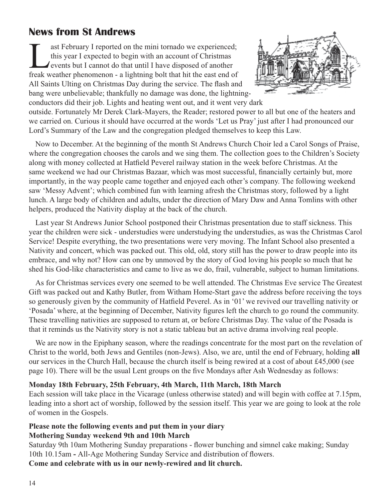# **News from St Andrews**

ast February I reported on the mini tornado we experienced;<br>this year I expected to begin with an account of Christmas<br>events but I cannot do that until I have disposed of another<br>freak weather phenomenon - a lightning bol this year I expected to begin with an account of Christmas events but I cannot do that until I have disposed of another freak weather phenomenon - a lightning bolt that hit the east end of All Saints Ulting on Christmas Day during the service. The flash and bang were unbelievable; thankfully no damage was done, the lightningconductors did their job. Lights and heating went out, and it went very dark



outside. Fortunately Mr Derek Clark-Mayers, the Reader; restored power to all but one of the heaters and we carried on. Curious it should have occurred at the words 'Let us Pray' just after I had pronounced our Lord's Summary of the Law and the congregation pledged themselves to keep this Law.

Now to December. At the beginning of the month St Andrews Church Choir led a Carol Songs of Praise, where the congregation chooses the carols and we sing them. The collection goes to the Children's Society along with money collected at Hatfield Peverel railway station in the week before Christmas. At the same weekend we had our Christmas Bazaar, which was most successful, financially certainly but, more importantly, in the way people came together and enjoyed each other's company. The following weekend saw 'Messy Advent'; which combined fun with learning afresh the Christmas story, followed by a light lunch. A large body of children and adults, under the direction of Mary Daw and Anna Tomlins with other helpers, produced the Nativity display at the back of the church.

Last year St Andrews Junior School postponed their Christmas presentation due to staff sickness. This year the children were sick - understudies were understudying the understudies, as was the Christmas Carol Service! Despite everything, the two presentations were very moving. The Infant School also presented a Nativity and concert, which was packed out. This old, old, story still has the power to draw people into its embrace, and why not? How can one by unmoved by the story of God loving his people so much that he shed his God-like characteristics and came to live as we do, frail, vulnerable, subject to human limitations.

As for Christmas services every one seemed to be well attended. The Christmas Eve service The Greatest Gift was packed out and Kathy Butler, from Witham Home-Start gave the address before receiving the toys so generously given by the community of Hatfield Peverel. As in '01' we revived our travelling nativity or 'Posada' where, at the beginning of December, Nativity figures left the church to go round the community. These travelling nativities are supposed to return at, or before Christmas Day. The value of the Posada is that it reminds us the Nativity story is not a static tableau but an active drama involving real people.

We are now in the Epiphany season, where the readings concentrate for the most part on the revelation of Christ to the world, both Jews and Gentiles (non-Jews). Also, we are, until the end of February, holding **all**  our services in the Church Hall, because the church itself is being rewired at a cost of about £45,000 (see page 10). There will be the usual Lent groups on the five Mondays after Ash Wednesday as follows:

### **Monday 18th February, 25th February, 4th March, 11th March, 18th March**

Each session will take place in the Vicarage (unless otherwise stated) and will begin with coffee at 7.15pm, leading into a short act of worship, followed by the session itself. This year we are going to look at the role of women in the Gospels.

### **Please note the following events and put them in your diary Mothering Sunday weekend 9th and 10th March**

Saturday 9th 10am Mothering Sunday preparations - flower bunching and simnel cake making; Sunday 10th 10.15am **-** All-Age Mothering Sunday Service and distribution of flowers.

**Come and celebrate with us in our newly-rewired and lit church.**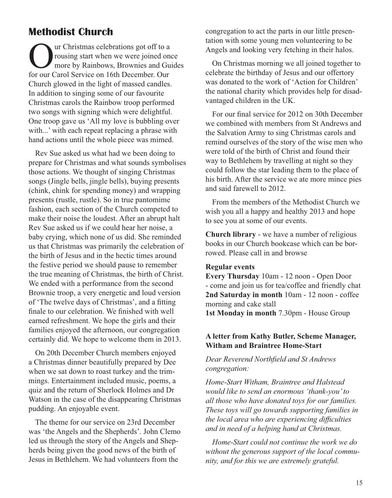### **Methodist Church**

Our Christmas celebrations got off to a<br>rousing start when we were joined one<br>for our Carol Service on 16th December Our rousing start when we were joined once more by Rainbows, Brownies and Guides for our Carol Service on 16th December. Our Church glowed in the light of massed candles. In addition to singing some of our favourite Christmas carols the Rainbow troop performed two songs with signing which were delightful. One troop gave us 'All my love is bubbling over with...' with each repeat replacing a phrase with hand actions until the whole piece was mimed.

Rev Sue asked us what had we been doing to prepare for Christmas and what sounds symbolises those actions. We thought of singing Christmas songs (Jingle bells, jingle bells), buying presents (chink, chink for spending money) and wrapping presents (rustle, rustle). So in true pantomime fashion, each section of the Church competed to make their noise the loudest. After an abrupt halt Rev Sue asked us if we could hear her noise, a baby crying, which none of us did. She reminded us that Christmas was primarily the celebration of the birth of Jesus and in the hectic times around the festive period we should pause to remember the true meaning of Christmas, the birth of Christ. We ended with a performance from the second Brownie troop, a very energetic and loud version of 'The twelve days of Christmas', and a fitting finale to our celebration. We finished with well earned refreshment. We hope the girls and their families enjoyed the afternoon, our congregation certainly did. We hope to welcome them in 2013.

On 20th December Church members enjoyed a Christmas dinner beautifully prepared by Dee when we sat down to roast turkey and the trimmings. Entertainment included music, poems, a quiz and the return of Sherlock Holmes and Dr Watson in the case of the disappearing Christmas pudding. An enjoyable event.

The theme for our service on 23rd December was 'the Angels and the Shepherds'. John Clemo led us through the story of the Angels and Shepherds being given the good news of the birth of Jesus in Bethlehem. We had volunteers from the

congregation to act the parts in our little presentation with some young men volunteering to be Angels and looking very fetching in their halos.

On Christmas morning we all joined together to celebrate the birthday of Jesus and our offertory was donated to the work of 'Action for Children' the national charity which provides help for disadvantaged children in the UK.

For our final service for 2012 on 30th December we combined with members from St Andrews and the Salvation Army to sing Christmas carols and remind ourselves of the story of the wise men who were told of the birth of Christ and found their way to Bethlehem by travelling at night so they could follow the star leading them to the place of his birth. After the service we ate more mince pies and said farewell to 2012.

From the members of the Methodist Church we wish you all a happy and healthy 2013 and hope to see you at some of our events.

**Church library** - we have a number of religious books in our Church bookcase which can be borrowed. Please call in and browse

#### **Regular events**

**Every Thursday** 10am - 12 noon - Open Door - come and join us for tea/coffee and friendly chat **2nd Saturday in month** 10am - 12 noon - coffee morning and cake stall **1st Monday in month** 7.30pm - House Group

#### **A letter from Kathy Butler, Scheme Manager, Witham and Braintree Home-Start**

#### *Dear Reverend Northfield and St Andrews congregation:*

*Home-Start Witham, Braintree and Halstead would like to send an enormous 'thank-you' to all those who have donated toys for our families. These toys will go towards supporting families in the local area who are experiencing difficulties and in need of a helping hand at Christmas.*

*Home-Start could not continue the work we do without the generous support of the local community, and for this we are extremely grateful.*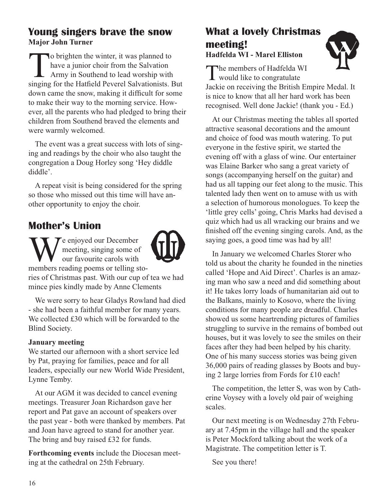### **Young singers brave the snow Major John Turner**

To brighten the winter, it was planned to<br>have a junior choir from the Salvation<br>Army in Southend to lead worship with<br>singing for the Hatfield Peverel Salvationists have a junior choir from the Salvation Army in Southend to lead worship with singing for the Hatfield Peverel Salvationists. But down came the snow, making it difficult for some to make their way to the morning service. However, all the parents who had pledged to bring their children from Southend braved the elements and were warmly welcomed.

The event was a great success with lots of singing and readings by the choir who also taught the congregation a Doug Horley song 'Hey diddle diddle'.

A repeat visit is being considered for the spring so those who missed out this time will have another opportunity to enjoy the choir.

# **Mother's Union**

We enjoyed our December<br>
our favourite carols with<br>
members reading poems or telling stomeeting, singing some of our favourite carols with



ries of Christmas past. With our cup of tea we had mince pies kindly made by Anne Clements

We were sorry to hear Gladys Rowland had died - she had been a faithful member for many years. We collected £30 which will be forwarded to the Blind Society.

### **January meeting**

We started our afternoon with a short service led by Pat, praying for families, peace and for all leaders, especially our new World Wide President, Lynne Temby.

At our AGM it was decided to cancel evening meetings. Treasurer Joan Richardson gave her report and Pat gave an account of speakers over the past year - both were thanked by members. Pat and Joan have agreed to stand for another year. The bring and buy raised £32 for funds.

**Forthcoming events** include the Diocesan meeting at the cathedral on 25th February.

### **What a lovely Christmas meeting! Hadfelda WI - Marel Elliston**

The members of Hadfelda WI<br>would like to congratulate

Jackie on receiving the British Empire Medal. It is nice to know that all her hard work has been recognised. Well done Jackie! (thank you - Ed.)

At our Christmas meeting the tables all sported attractive seasonal decorations and the amount and choice of food was mouth watering. To put everyone in the festive spirit, we started the evening off with a glass of wine. Our entertainer was Elaine Barker who sang a great variety of songs (accompanying herself on the guitar) and had us all tapping our feet along to the music. This talented lady then went on to amuse with us with a selection of humorous monologues. To keep the 'little grey cells' going, Chris Marks had devised a quiz which had us all wracking our brains and we finished off the evening singing carols. And, as the saying goes, a good time was had by all!

In January we welcomed Charles Storer who told us about the charity he founded in the nineties called 'Hope and Aid Direct'. Charles is an amazing man who saw a need and did something about it! He takes lorry loads of humanitarian aid out to the Balkans, mainly to Kosovo, where the living conditions for many people are dreadful. Charles showed us some heartrending pictures of families struggling to survive in the remains of bombed out houses, but it was lovely to see the smiles on their faces after they had been helped by his charity. One of his many success stories was being given 36,000 pairs of reading glasses by Boots and buying 2 large lorries from Fords for £10 each!

The competition, the letter S, was won by Catherine Voysey with a lovely old pair of weighing scales.

Our next meeting is on Wednesday 27th February at 7.45pm in the village hall and the speaker is Peter Mockford talking about the work of a Magistrate. The competition letter is T.

See you there!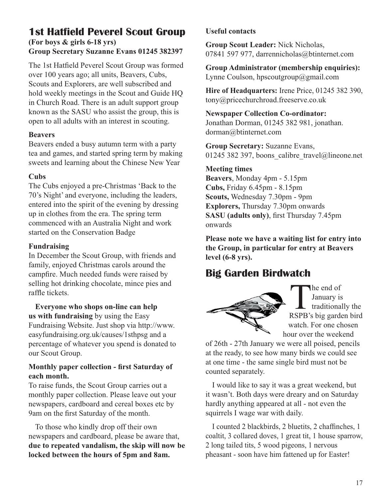### **1st Hatfield Peverel Scout Group (For boys & girls 6-18 yrs) Group Secretary Suzanne Evans 01245 382397**

The 1st Hatfield Peverel Scout Group was formed over 100 years ago; all units, Beavers, Cubs, Scouts and Explorers, are well subscribed and hold weekly meetings in the Scout and Guide HQ in Church Road. There is an adult support group known as the SASU who assist the group, this is open to all adults with an interest in scouting.

#### **Beavers**

Beavers ended a busy autumn term with a party tea and games, and started spring term by making sweets and learning about the Chinese New Year

### **Cubs**

The Cubs enjoyed a pre-Christmas 'Back to the 70's Night' and everyone, including the leaders, entered into the spirit of the evening by dressing up in clothes from the era. The spring term commenced with an Australia Night and work started on the Conservation Badge

### **Fundraising**

In December the Scout Group, with friends and family, enjoyed Christmas carols around the campfire. Much needed funds were raised by selling hot drinking chocolate, mince pies and raffle tickets.

**Everyone who shops on-line can help us with fundraising** by using the Easy Fundraising Website. Just shop via http://www. easyfundraising.org.uk/causes/1sthpsg and a percentage of whatever you spend is donated to our Scout Group.

### **Monthly paper collection - first Saturday of each month.**

To raise funds, the Scout Group carries out a monthly paper collection. Please leave out your newspapers, cardboard and cereal boxes etc by 9am on the first Saturday of the month.

To those who kindly drop off their own newspapers and cardboard, please be aware that, **due to repeated vandalism, the skip will now be locked between the hours of 5pm and 8am.**

### **Useful contacts**

**Group Scout Leader:** Nick Nicholas, 07841 597 977, darrennicholas@btinternet.com

**Group Administrator (membership enquiries):**  Lynne Coulson, hpscoutgroup@gmail.com

**Hire of Headquarters:** Irene Price, 01245 382 390, tony@pricechurchroad.freeserve.co.uk

#### **Newspaper Collection Co-ordinator:** Jonathan Dorman, 01245 382 981, jonathan. dorman@btinternet.com

**Group Secretary:** Suzanne Evans, 01245 382 397, boons calibre travel@lineone.net

### **Meeting times**

**Beavers**, Monday 4pm - 5.15pm **Cubs,** Friday 6.45pm - 8.15pm **Scouts,** Wednesday 7.30pm - 9pm **Explorers,** Thursday 7.30pm onwards **SASU (adults only)**, first Thursday 7.45pm onwards

**Please note we have a waiting list for entry into the Group, in particular for entry at Beavers level (6-8 yrs).**

# **Big Garden Birdwatch**



The end of<br>
January is<br>
raditionally the<br>
RSPB's big garden bird January is - traditionally the watch. For one chosen hour over the weekend

of 26th - 27th January we were all poised, pencils at the ready, to see how many birds we could see at one time - the same single bird must not be counted separately.

I would like to say it was a great weekend, but it wasn't. Both days were dreary and on Saturday hardly anything appeared at all - not even the squirrels I wage war with daily.

I counted 2 blackbirds, 2 bluetits, 2 chaffinches, 1 coaltit, 3 collared doves, 1 great tit, 1 house sparrow, 2 long tailed tits, 5 wood pigeons, 1 nervous pheasant - soon have him fattened up for Easter!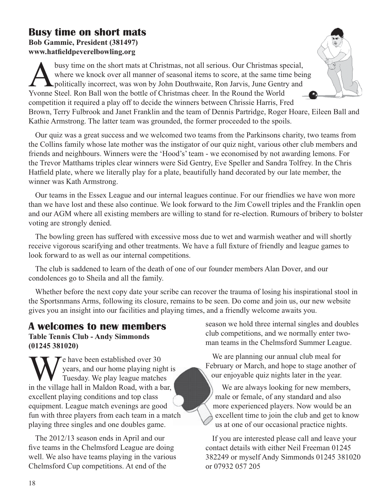# **Busy time on short mats**

**Bob Gammie, President (381497) www.hatfieldpeverelbowling.org**

busy time on the short mats at Christmas, not all serious. Our Christmas special, where we knock over all manner of seasonal items to score, at the same time bein politically incorrect, was won by John Douthwaite, Ron Jarv where we knock over all manner of seasonal items to score, at the same time being politically incorrect, was won by John Douthwaite, Ron Jarvis, June Gentry and Yvonne Steel. Ron Ball won the bottle of Christmas cheer. In the Round the World competition it required a play off to decide the winners between Chrissie Harris, Fred Brown, Terry Fulbrook and Janet Franklin and the team of Dennis Partridge, Roger Hoare, Eileen Ball and Kathie Armstrong. The latter team was grounded, the former proceeded to the spoils.

Our quiz was a great success and we welcomed two teams from the Parkinsons charity, two teams from the Collins family whose late mother was the instigator of our quiz night, various other club members and friends and neighbours. Winners were the 'Hood's' team - we economised by not awarding lemons. For the Trevor Matthams triples clear winners were Sid Gentry, Eve Speller and Sandra Tolfrey. In the Chris Hatfield plate, where we literally play for a plate, beautifully hand decorated by our late member, the winner was Kath Armstrong.

Our teams in the Essex League and our internal leagues continue. For our friendlies we have won more than we have lost and these also continue. We look forward to the Jim Cowell triples and the Franklin open and our AGM where all existing members are willing to stand for re-election. Rumours of bribery to bolster voting are strongly denied.

The bowling green has suffered with excessive moss due to wet and warmish weather and will shortly receive vigorous scarifying and other treatments. We have a full fixture of friendly and league games to look forward to as well as our internal competitions.

The club is saddened to learn of the death of one of our founder members Alan Dover, and our condolences go to Sheila and all the family.

Whether before the next copy date your scribe can recover the trauma of losing his inspirational stool in the Sportsnmans Arms, following its closure, remains to be seen. Do come and join us, our new website gives you an insight into our facilities and playing times, and a friendly welcome awaits you.

### **A welcomes to new members Table Tennis Club - Andy Simmonds (01245 381020)**

We have been established over 30<br>Tuesday. We play league matche<br>in the village hall in Maldon Road, with a b years, and our home playing night is Tuesday. We play league matches in the village hall in Maldon Road, with a bar, excellent playing conditions and top class equipment. League match evenings are good fun with three players from each team in a match playing three singles and one doubles game.

The 2012/13 season ends in April and our five teams in the Chelmsford League are doing well. We also have teams playing in the various Chelmsford Cup competitions. At end of the

season we hold three internal singles and doubles club competitions, and we normally enter twoman teams in the Chelmsford Summer League.

We are planning our annual club meal for February or March, and hope to stage another of our enjoyable quiz nights later in the year.

We are always looking for new members, male or female, of any standard and also more experienced players. Now would be an excellent time to join the club and get to know us at one of our occasional practice nights.

If you are interested please call and leave your contact details with either Neil Freeman 01245 382249 or myself Andy Simmonds 01245 381020 or 07932 057 205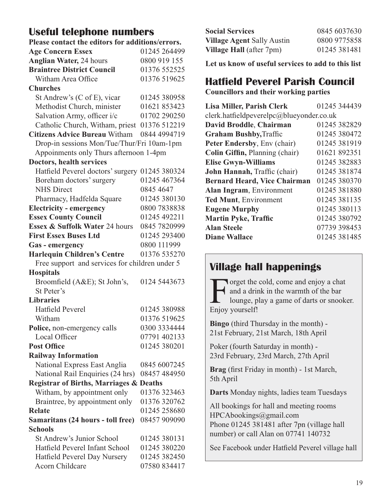### **Useful telephone numbers**

| Please contact the editors for additions/errors.   |              |  |  |
|----------------------------------------------------|--------------|--|--|
| <b>Age Concern Essex</b>                           | 01245 264499 |  |  |
| <b>Anglian Water, 24 hours</b>                     | 0800 919 155 |  |  |
| <b>Braintree District Council</b>                  | 01376 552525 |  |  |
| Witham Area Office                                 | 01376 519625 |  |  |
| <b>Churches</b>                                    |              |  |  |
| St Andrew's (C of E), vicar                        | 01245 380958 |  |  |
| Methodist Church, minister                         | 01621 853423 |  |  |
| Salvation Army, officer i/c                        | 01702 290250 |  |  |
| Catholic Church, Witham, priest 01376 512219       |              |  |  |
| <b>Citizens Advice Bureau Witham</b>               | 0844 4994719 |  |  |
| Drop-in sessions Mon/Tue/Thur/Fri 10am-1pm         |              |  |  |
| Appoinments only Thurs afternoon 1-4pm             |              |  |  |
| Doctors, health services                           |              |  |  |
| Hatfield Peverel doctors' surgery 01245 380324     |              |  |  |
| Boreham doctors' surgery                           | 01245 467364 |  |  |
| <b>NHS</b> Direct                                  | 0845 4647    |  |  |
| Pharmacy, Hadfelda Square                          | 01245 380130 |  |  |
| <b>Electricity - emergency</b>                     | 0800 7838838 |  |  |
| <b>Essex County Council</b>                        | 01245 492211 |  |  |
| Essex & Suffolk Water 24 hours                     | 0845 7820999 |  |  |
| <b>First Essex Buses Ltd</b>                       | 01245 293400 |  |  |
| Gas - emergency                                    | 0800 111999  |  |  |
| <b>Harlequin Children's Centre</b>                 | 01376 535270 |  |  |
| Free support and services for children under 5     |              |  |  |
| <b>Hospitals</b>                                   |              |  |  |
| Broomfield (A&E); St John's,                       | 0124 5443673 |  |  |
| St Peter's                                         |              |  |  |
| <b>Libraries</b>                                   |              |  |  |
| <b>Hatfield Peverel</b>                            | 01245 380988 |  |  |
| Witham                                             | 01376 519625 |  |  |
| Police, non-emergency calls                        | 0300 3334444 |  |  |
| Local Officer                                      | 07791 402133 |  |  |
| <b>Post Office</b>                                 | 01245 380201 |  |  |
| <b>Railway Information</b>                         |              |  |  |
| National Express East Anglia                       | 0845 6007245 |  |  |
| National Rail Enquiries (24 hrs)                   | 08457 484950 |  |  |
| <b>Registrar of Births, Marriages &amp; Deaths</b> |              |  |  |
| Witham, by appointment only                        | 01376 323463 |  |  |
| Braintree, by appointment only                     | 01376 320762 |  |  |
| <b>Relate</b>                                      | 01245 258680 |  |  |
| Samaritans (24 hours - toll free)                  | 08457 909090 |  |  |
| <b>Schools</b>                                     |              |  |  |
| St Andrew's Junior School                          | 01245 380131 |  |  |
| Hatfield Peverel Infant School                     | 01245 380220 |  |  |
| Hatfield Peverel Day Nursery                       | 01245 382450 |  |  |
| Acorn Childcare                                    | 07580 834417 |  |  |

| <b>Social Services</b>            | 0845 6037630 |
|-----------------------------------|--------------|
| <b>Village Agent Sally Austin</b> | 0800 9775858 |
| <b>Village Hall</b> (after 7pm)   | 01245 381481 |

**Let us know of useful services to add to this list**

## **Hatfield Peverel Parish Council**

**Councillors and their working parties**

| Lisa Miller, Parish Clerk                | 01245 344439 |  |
|------------------------------------------|--------------|--|
| clerk.hatfieldpeverelpc@blueyonder.co.uk |              |  |
| David Broddle, Chairman                  | 01245 382829 |  |
| <b>Graham Bushby, Traffic</b>            | 01245 380472 |  |
| Peter Endersby, Env (chair)              | 01245 381919 |  |
| Colin Giffin, Planning (chair)           | 01621 892351 |  |
| <b>Elise Gwyn-Williams</b>               | 01245 382883 |  |
| John Hannah, Traffic (chair)             | 01245 381874 |  |
| <b>Bernard Heard, Vice Chairman</b>      | 01245 380370 |  |
| Alan Ingram, Environment                 | 01245 381880 |  |
| Ted Munt, Environment                    | 01245 381135 |  |
| <b>Eugene Murphy</b>                     | 01245 380113 |  |
| Martin Pyke, Traffic                     | 01245 380792 |  |
| <b>Alan Steele</b>                       | 07739 398453 |  |
| Diane Wallace                            | 01245 381485 |  |

# **Village hall happenings**

Forget the cold, come and enjoy a chat<br>and a drink in the warmth of the bar<br>lounge, play a game of darts or snook and a drink in the warmth of the bar lounge, play a game of darts or snooker. Enjoy yourself!

**Bingo** (third Thursday in the month) - 21st February, 21st March, 18th April

Poker (fourth Saturday in month) - 23rd February, 23rd March, 27th April

**Brag** (first Friday in month) - 1st March, 5th April

**Darts** Monday nights, ladies team Tuesdays

All bookings for hall and meeting rooms HPCAbookings@gmail.com Phone 01245 381481 after 7pn (village hall number) or call Alan on 07741 140732

See Facebook under Hatfield Peverel village hall